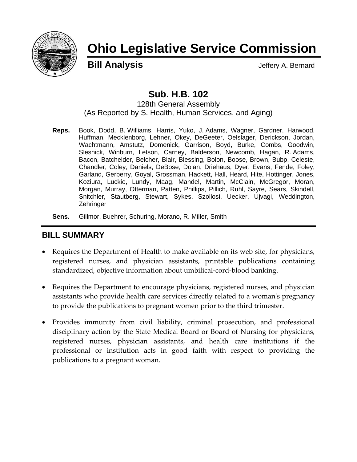

# **Ohio Legislative Service Commission**

**Bill Analysis** Jeffery A. Bernard

# **Sub. H.B. 102**

128th General Assembly (As Reported by S. Health, Human Services, and Aging)

**Reps.** Book, Dodd, B. Williams, Harris, Yuko, J. Adams, Wagner, Gardner, Harwood, Huffman, Mecklenborg, Lehner, Okey, DeGeeter, Oelslager, Derickson, Jordan, Wachtmann, Amstutz, Domenick, Garrison, Boyd, Burke, Combs, Goodwin, Slesnick, Winburn, Letson, Carney, Balderson, Newcomb, Hagan, R. Adams, Bacon, Batchelder, Belcher, Blair, Blessing, Bolon, Boose, Brown, Bubp, Celeste, Chandler, Coley, Daniels, DeBose, Dolan, Driehaus, Dyer, Evans, Fende, Foley, Garland, Gerberry, Goyal, Grossman, Hackett, Hall, Heard, Hite, Hottinger, Jones, Koziura, Luckie, Lundy, Maag, Mandel, Martin, McClain, McGregor, Moran, Morgan, Murray, Otterman, Patten, Phillips, Pillich, Ruhl, Sayre, Sears, Skindell, Snitchler, Stautberg, Stewart, Sykes, Szollosi, Uecker, Ujvagi, Weddington, **Zehringer** 

**Sens.** Gillmor, Buehrer, Schuring, Morano, R. Miller, Smith

## **BILL SUMMARY**

- Requires the Department of Health to make available on its web site, for physicians, registered nurses, and physician assistants, printable publications containing standardized, objective information about umbilical‐cord‐blood banking.
- Requires the Department to encourage physicians, registered nurses, and physician assistants who provide health care services directly related to a womanʹs pregnancy to provide the publications to pregnant women prior to the third trimester.
- Provides immunity from civil liability, criminal prosecution, and professional disciplinary action by the State Medical Board or Board of Nursing for physicians, registered nurses, physician assistants, and health care institutions if the professional or institution acts in good faith with respect to providing the publications to a pregnant woman.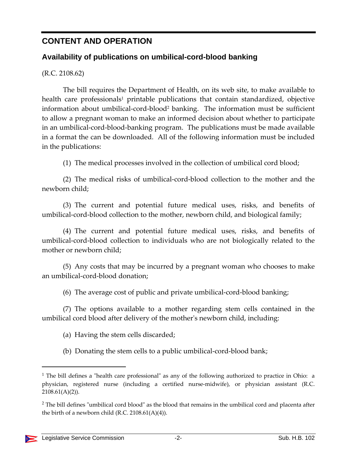## **CONTENT AND OPERATION**

### **Availability of publications on umbilical-cord-blood banking**

(R.C. 2108.62)

The bill requires the Department of Health, on its web site, to make available to health care professionals<sup>1</sup> printable publications that contain standardized, objective information about umbilical-cord-blood<sup>2</sup> banking. The information must be sufficient to allow a pregnant woman to make an informed decision about whether to participate in an umbilical‐cord‐blood‐banking program. The publications must be made available in a format the can be downloaded. All of the following information must be included in the publications:

(1) The medical processes involved in the collection of umbilical cord blood;

(2) The medical risks of umbilical‐cord‐blood collection to the mother and the newborn child;

(3) The current and potential future medical uses, risks, and benefits of umbilical-cord-blood collection to the mother, newborn child, and biological family;

(4) The current and potential future medical uses, risks, and benefits of umbilical‐cord‐blood collection to individuals who are not biologically related to the mother or newborn child;

(5) Any costs that may be incurred by a pregnant woman who chooses to make an umbilical‐cord‐blood donation;

(6) The average cost of public and private umbilical‐cord‐blood banking;

(7) The options available to a mother regarding stem cells contained in the umbilical cord blood after delivery of the motherʹs newborn child, including:

(a) Having the stem cells discarded;

(b) Donating the stem cells to a public umbilical-cord-blood bank;

 $<sup>1</sup>$  The bill defines a "health care professional" as any of the following authorized to practice in Ohio: a</sup> physician, registered nurse (including a certified nurse‐midwife), or physician assistant (R.C.  $2108.61(A)(2)$ ).

 $2$  The bill defines "umbilical cord blood" as the blood that remains in the umbilical cord and placenta after the birth of a newborn child (R.C. 2108.61(A)(4)).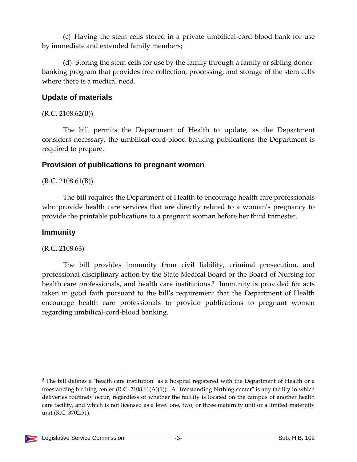(c) Having the stem cells stored in a private umbilical‐cord‐blood bank for use by immediate and extended family members;

(d) Storing the stem cells for use by the family through a family or sibling donor‐ banking program that provides free collection, processing, and storage of the stem cells where there is a medical need.

#### **Update of materials**

 $(R.C. 2108.62(B))$ 

The bill permits the Department of Health to update, as the Department considers necessary, the umbilical‐cord‐blood banking publications the Department is required to prepare.

#### **Provision of publications to pregnant women**

 $(R.C. 2108.61(B))$ 

The bill requires the Department of Health to encourage health care professionals who provide health care services that are directly related to a woman's pregnancy to provide the printable publications to a pregnant woman before her third trimester.

#### **Immunity**

(R.C. 2108.63)

The bill provides immunity from civil liability, criminal prosecution, and professional disciplinary action by the State Medical Board or the Board of Nursing for health care professionals, and health care institutions.<sup>3</sup> Immunity is provided for acts taken in good faith pursuant to the billʹs requirement that the Department of Health encourage health care professionals to provide publications to pregnant women regarding umbilical‐cord‐blood banking.

 $3$  The bill defines a "health care institution" as a hospital registered with the Department of Health or a freestanding birthing center (R.C. 2108.61(A)(1)). A "freestanding birthing center" is any facility in which deliveries routinely occur, regardless of whether the facility is located on the campus of another health care facility, and which is not licensed as a level one, two, or three maternity unit or a limited maternity unit (R.C. 3702.51).